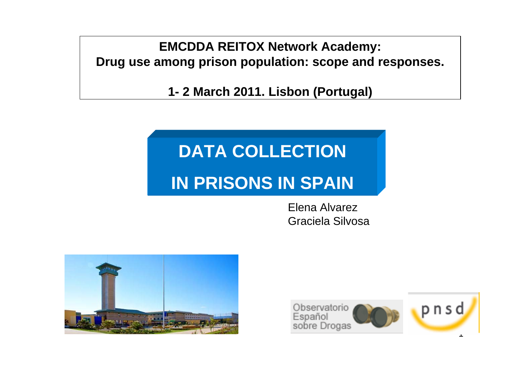**EMCDDA REITOX Network Academy: Drug use among prison population: scope and responses.** 

**1- 2 March 2011. Lisbon (Portugal)**

# **DATA COLLECTION**

# **IN PRISONS IN SPAIN**

#### Elena Alvarez Graciela Silvosa



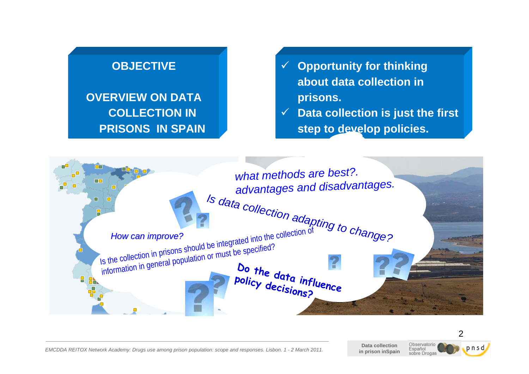#### **OBJECTIVE**

## **OVERVIEW ON DATA COLLECTION IN PRISONS IN SPAIN**

- 9 **Opportunity for thinking about data collection in prisons.**
- $\checkmark$  **Data collection is just the first step to develop policies.**



*EMCDDA REITOX Network Academy: Drugs use among prison population: scope and responses. Lisbon. 1 - 2 March 2011.* 

**Data collection in prison inSpain**

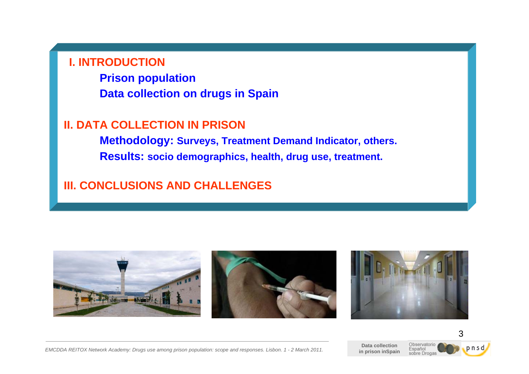#### **I. INTRODUCTION**

**Prison population Data collection on drugs in Spain** 

#### **II. DATA COLLECTION IN PRISON**

**Methodology: Surveys, Treatment Demand Indicator, others. Results: socio demographics, health, drug use, treatment.**

#### **III. CONCLUSIONS AND CHALLENGES**







*EMCDDA REITOX Network Academy: Drugs use among prison population: scope and responses. Lisbon. 1 - 2 March 2011.* 

**Data collection in prison inSpain**

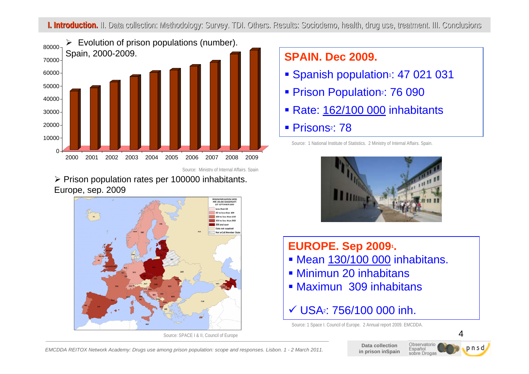

Source: Ministry of Internal Affairs. Spain

¾ Prison population rates per 100000 inhabitants. Europe, sep. 2009



Source: SPACE I & II, Council of Europe

**SPAIN. Dec 2009.**

- Spanish population: 47 021 031
- Prison Population2: 76 090
- Rate: 162/100 000 inhabitants
- Prisons<sup>2</sup>: 78

Source: 1 National Institute of Statistics. 2 Ministry of Internal Affairs. Spain.



**EUROPE. Sep 20091.**  Mean 130/100 000 inhabitans.

- Minimun 20 inhabitans
- Maximun 309 inhabitans

## $\checkmark$  USA<sub>2</sub>: 756/100 000 inh.

Source: 1 Space I. Council of Europe. 2 Annual report 2009. EMCDDA.



**Data collection in prison inSpain**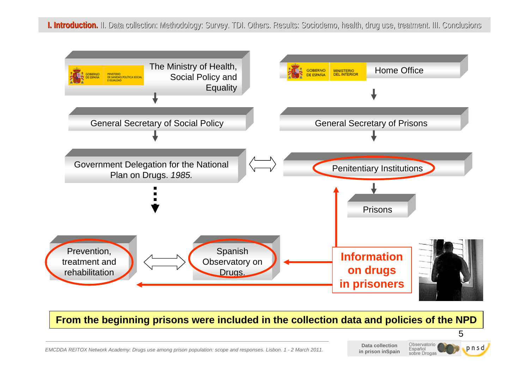

#### **From the beginning prisons were included in the collection data and policies of the NPD**

*EMCDDA REITOX Network Academy: Drugs use among prison population: scope and responses. Lisbon. 1 - 2 March 2011.* 

**Data collection in prison inSpain**

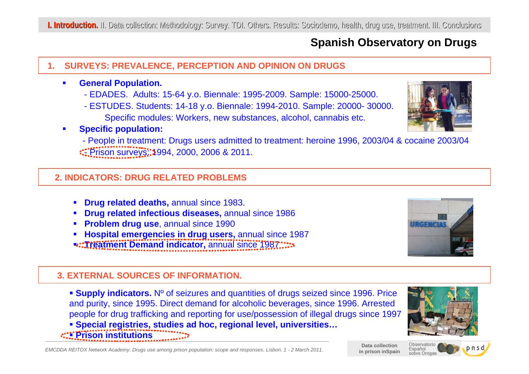#### **Spanish Observatory on Drugs**

#### **1. SURVEYS: PREVALENCE, PERCEPTION AND OPINION ON DRUGS**

#### $\blacksquare$ **General Population.**

- EDADES. Adults: 15-64 y.o. Biennale: 1995-2009. Sample: 15000-25000.
- ESTUDES. Students: 14-18 y.o. Biennale: 1994-2010. Sample: 20000- 30000. Specific modules: Workers, new substances, alcohol, cannabis etc.

#### П **Specific population:**

- People in treatment: Drugs users admitted to treatment: heroine 1996, 2003/04 & cocaine 2003/04 - Prison surveys: 1994, 2000, 2006 & 2011.

#### **2. INDICATORS: DRUG RELATED PROBLEMS**

- L **Drug related deaths,** annual since 1983.
- г **Drug related infectious diseases,** annual since 1986
- **Problem drug use**, annual since 1990
- L **Hospital emergencies in drug users,** annual since 1987 **Treatment Demand indicator,** annual since 1987

#### **3. EXTERNAL SOURCES OF INFORMATION.**

**Supply indicators.** N<sup>o</sup> of seizures and quantities of drugs seized since 1996. Price and purity, since 1995. Direct demand for alcoholic beverages, since 1996. Arrested people for drug trafficking and reporting for use/possession of illegal drugs since 1997 **Special registries, studies ad hoc, regional level, universities… Prison institutions**

*EMCDDA REITOX Network Academy: Drugs use among prison population: scope and responses. Lisbon. 1 - 2 March 2011.* 







Fsnañol sobre Droga pnsd

**Data collection in prison inSpain**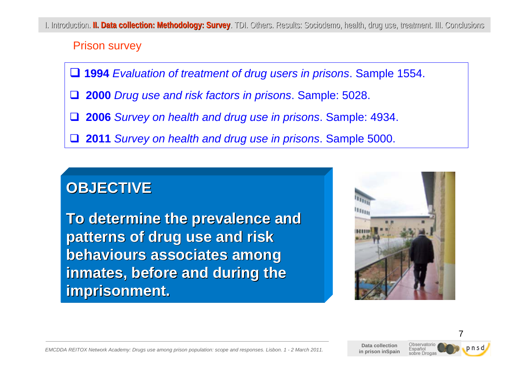#### Prison survey

**1994** *Evaluation of treatment of drug users in prisons*. Sample 1554.

- $\Box$ **2000** *Drug use and risk factors in prisons*. Sample: 5028.
- $\sqcup$ **2006** *Survey on health and drug use in prisons*. Sample: 4934.
- $\Box$ **2011** *Survey on health and drug use in prisons*. Sample 5000.

## **OBJECTIVE OBJECTIVE**

**To determine the prevalence and patterns of drug use and risk patterns of drug use and risk behaviours behaviours associates among associates among**  inmates, before and during the **imprisonment. imprisonment.**





**Data collection in prison inSpain**

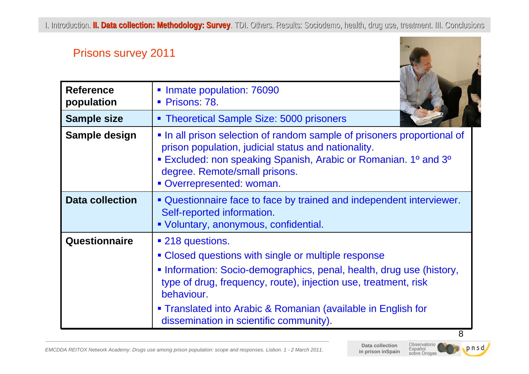#### Prisons survey 2011



| <b>Reference</b><br>population | Inmate population: 76090<br>Prisons: 78.                                                                                                                                                                                                                                                                                                     |
|--------------------------------|----------------------------------------------------------------------------------------------------------------------------------------------------------------------------------------------------------------------------------------------------------------------------------------------------------------------------------------------|
| <b>Sample size</b>             | • Theoretical Sample Size: 5000 prisoners                                                                                                                                                                                                                                                                                                    |
| Sample design                  | • In all prison selection of random sample of prisoners proportional of<br>prison population, judicial status and nationality.<br><b>Excluded: non speaking Spanish, Arabic or Romanian. 1º and 3º</b><br>degree. Remote/small prisons.<br>Overrepresented: woman.                                                                           |
| <b>Data collection</b>         | " Questionnaire face to face by trained and independent interviewer.<br>Self-reported information.<br>• Voluntary, anonymous, confidential.                                                                                                                                                                                                  |
| Questionnaire                  | ■ 218 questions.<br>• Closed questions with single or multiple response<br>• Information: Socio-demographics, penal, health, drug use (history,<br>type of drug, frequency, route), injection use, treatment, risk<br>behaviour.<br>• Translated into Arabic & Romanian (available in English for<br>dissemination in scientific community). |

*EMCDDA REITOX Network Academy: Drugs use among prison population: scope and responses. Lisbon. 1 - 2 March 2011.* 

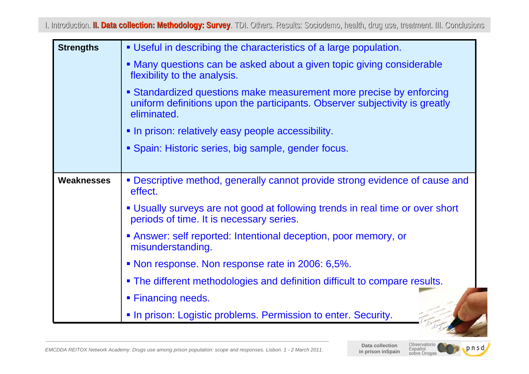| <b>Strengths</b>  | • Useful in describing the characteristics of a large population.                                                                                                 |
|-------------------|-------------------------------------------------------------------------------------------------------------------------------------------------------------------|
|                   | • Many questions can be asked about a given topic giving considerable<br>flexibility to the analysis.                                                             |
|                   | • Standardized questions make measurement more precise by enforcing<br>uniform definitions upon the participants. Observer subjectivity is greatly<br>eliminated. |
|                   | • In prison: relatively easy people accessibility.                                                                                                                |
|                   | • Spain: Historic series, big sample, gender focus.                                                                                                               |
|                   |                                                                                                                                                                   |
| <b>Weaknesses</b> | • Descriptive method, generally cannot provide strong evidence of cause and<br>effect.                                                                            |
|                   | • Usually surveys are not good at following trends in real time or over short<br>periods of time. It is necessary series.                                         |
|                   | Answer: self reported: Intentional deception, poor memory, or<br>misunderstanding.                                                                                |
|                   | • Non response. Non response rate in 2006: 6,5%.                                                                                                                  |
|                   | • The different methodologies and definition difficult to compare results.                                                                                        |
|                   | ■ Financing needs.                                                                                                                                                |
|                   | • In prison: Logistic problems. Permission to enter. Security.                                                                                                    |

Observatorio<br>Español<br>sobre Drogas **Data collection in prison inSpain**

9

pnsd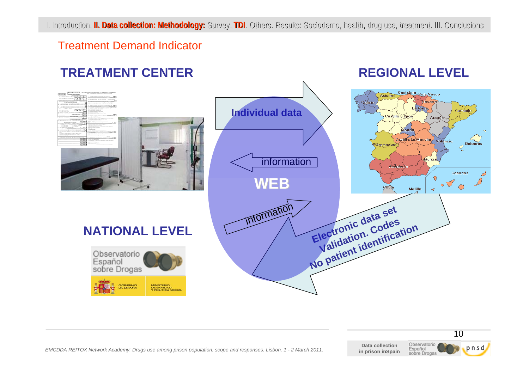#### Treatment Demand Indicator

## **TREATMENT CENTER**





**REGIONAL LEVEL**



10

*EMCDDA REITOX Network Academy: Drugs use among prison population: scope and responses. Lisbon. 1 - 2 March 2011.*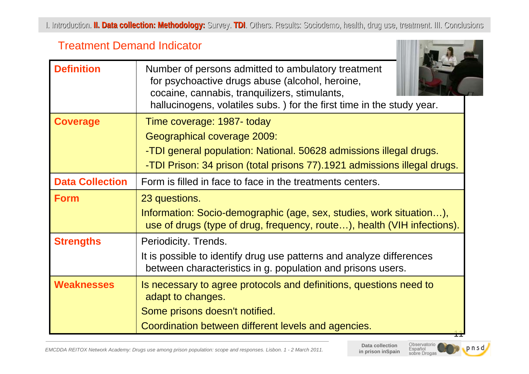#### Treatment Demand Indicator

| <b>Definition</b>      | Number of persons admitted to ambulatory treatment<br>for psychoactive drugs abuse (alcohol, heroine,<br>cocaine, cannabis, tranquilizers, stimulants,<br>hallucinogens, volatiles subs.) for the first time in the study year. |
|------------------------|---------------------------------------------------------------------------------------------------------------------------------------------------------------------------------------------------------------------------------|
| <b>Coverage</b>        | Time coverage: 1987- today                                                                                                                                                                                                      |
|                        | Geographical coverage 2009:                                                                                                                                                                                                     |
|                        | -TDI general population: National. 50628 admissions illegal drugs.                                                                                                                                                              |
|                        | -TDI Prison: 34 prison (total prisons 77).1921 admissions illegal drugs.                                                                                                                                                        |
| <b>Data Collection</b> | Form is filled in face to face in the treatments centers.                                                                                                                                                                       |
| <b>Form</b>            | 23 questions.                                                                                                                                                                                                                   |
|                        | Information: Socio-demographic (age, sex, studies, work situation),<br>use of drugs (type of drug, frequency, route), health (VIH infections).                                                                                  |
| <b>Strengths</b>       | Periodicity. Trends.                                                                                                                                                                                                            |
|                        | It is possible to identify drug use patterns and analyze differences<br>between characteristics in g. population and prisons users.                                                                                             |
| <b>Weaknesses</b>      | Is necessary to agree protocols and definitions, questions need to<br>adapt to changes.                                                                                                                                         |
|                        | Some prisons doesn't notified.                                                                                                                                                                                                  |
|                        | Coordination between different levels and agencies.                                                                                                                                                                             |

*EMCDDA REITOX Network Academy: Drugs use among prison population: scope and responses. Lisbon. 1 - 2 March 2011.* 

**Data collection in prison inSpain**

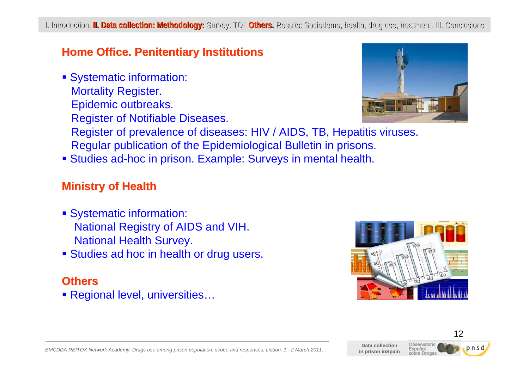#### **Home Office. Penitentiary Institutions**

- **Systematic information:** Mortality Register. Epidemic outbreaks. Register of Notifiable Diseases. Register of prevalence of diseases: HIV / AIDS, TB, Hepatitis viruses. Regular publication of the Epidemiological Bulletin in prisons.
- Studies ad-hoc in prison. Example: Surveys in mental health.

#### **Ministry of Health Ministry of Health**

- **Systematic information:** National Registry of AIDS and VIH. National Health Survey.
- **Studies ad hoc in health or drug users.**

#### **Others**

Regional level, universities…





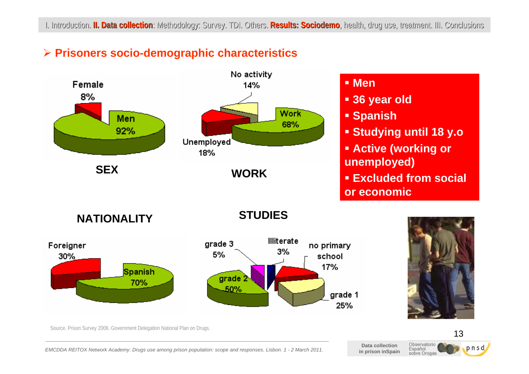**STUDIES**

#### ¾ **Prisoners socio-demographic characteristics**



#### **Men**

- **36 year old**
- **Spanish**
- **Studying until 18 y.o**
- **Active (working or unemployed)**
- **Excluded from social or economic**

**NATIONALITY**





Observatorio

Español sobre Drogas

#### 13

pnsd

Source. Prison Survey 2006. Government Delegation National Plan on Drugs.

*EMCDDA REITOX Network Academy: Drugs use among prison population: scope and responses. Lisbon. 1 - 2 March 2011.* 

**Data collection in prison inSpain**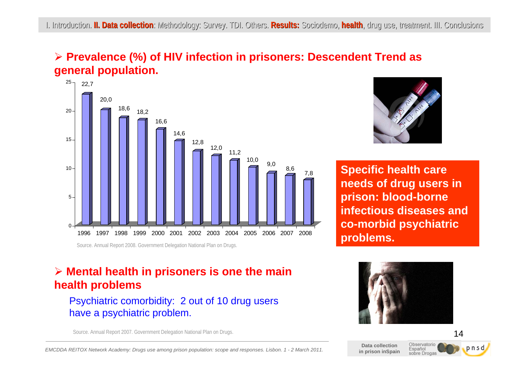#### ¾ **Prevalence (%) of HIV infection in prisoners: Descendent Trend as general population.**



Source. Annual Report 2008. Government Delegation National Plan on Drugs.

#### ¾ **Mental health in prisoners is one the main health problems**

#### Psychiatric comorbidity: 2 out of 10 drug users have a psychiatric problem.

Source. Annual Report 2007. Government Delegation National Plan on Drugs.

*EMCDDA REITOX Network Academy: Drugs use among prison population: scope and responses. Lisbon. 1 - 2 March 2011.* 



**Specific health care needs of drug users in prison: blood-borne infectious diseases and co-morbid psychiatric problems.**



**Data collection in prison inSpain**

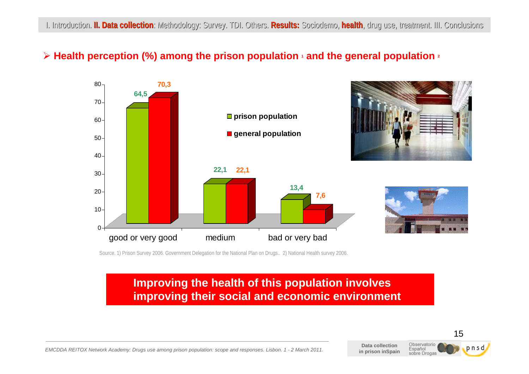#### ¾ **Health perception (%) among the prison population 1 and the general population 2**



Source. 1) Prison Survey 2006. Government Delegation for the National Plan on Drugs.. 2) National Health survey 2006.

#### **Improving the health of this population involves improving their social and economic environment**

*EMCDDA REITOX Network Academy: Drugs use among prison population: scope and responses. Lisbon. 1 - 2 March 2011.* 

**Data collection in prison inSpain**

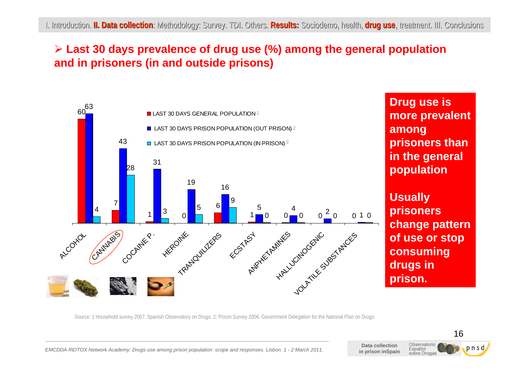#### ¾ **Last 30 days prevalence of drug use (%) among the general population and in prisoners (in and outside prisons)**



**more prevalent prisoners than in the general population**

**prisoners change pattern of use or stop consuming drugs in** 

Source: 1 Household survey 2007. Spanish Observatory on Drugs. 2: Prison Survey 2006. Government Delegation for the National Plan on Drugs.

**Data collection in prison inSpain**

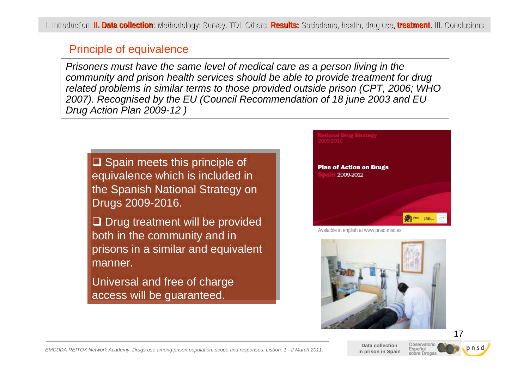#### Principle of equivalence

*Prisoners must have the same level of medical care as a person living in the community and prison health services should be able to provide treatment for drug related problems in similar terms to those provided outside prison (CPT, 2006; WHO 2007). Recognised by the EU (Council Recommendation of 18 june 2003 and EU Drug Action Plan 2009-12 )* 

□ Spain meets this principle of equivalence which is included in equivalence which is included in the Spanish National Strategy on the Spanish National Strategy on Drugs 2009-2016. Drugs 2009-2016.

 Drug treatment will be provided Drug treatment will be provided both in the community and in both in the community and in prisons in a similar and equivalent prisons in a similar and equivalent manner.

Universal and free of charge Universal and free of charge access will be guaranteed. access will be guaranteed.



Avalaible in english at www.pnsd.msc.es



**Data collection in prison in Spain**



17

*EMCDDA REITOX Network Academy: Drugs use among prison population: scope and responses. Lisbon. 1 - 2 March 2011.*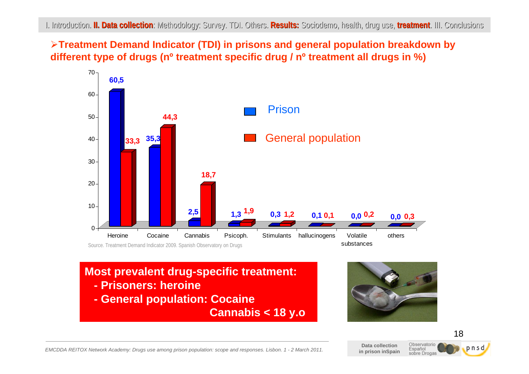#### ¾**Treatment Demand Indicator (TDI) in prisons and general population breakdown by different type of drugs (nº treatment specific drug / nº treatment all drugs in %)**



## **Most prevalent drug-specific treatment:**

- **- Prisoners: heroine**
- **- General population: Cocaine**

**Cannabis < 18 y.o**



**Data collection in prison inSpain**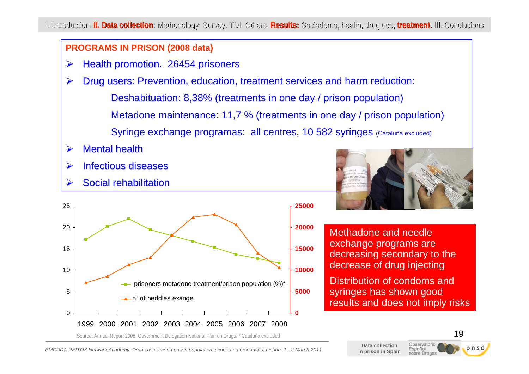#### **PROGRAMS IN PRISON (2008 data)**

- ¾Health promotion. 26454 prisoners
- ¾Drug users: Prevention, education, treatment services and harm reduction: Deshabituation: 8,38% (treatments in one day / prison population) Metadone maintenance: 11,7 % (treatments in one day / prison population) Syringe exchange programas: all centres, 10 582 syringes (Cataluña excluded)
- ¾**Mental health**
- ¾Infectious diseases Infectious diseases
- ¾Social rehabilitation



Source. Annual Report 2008. Government Delegation National Plan on Drugs. \* Cataluña excluded



Methadone and needle exchange programs are decreasing secondary to the decrease of drug injecting

Distribution of condoms and syringes has shown good results and does not imply risks





*EMCDDA REITOX Network Academy: Drugs use among prison population: scope and responses. Lisbon. 1 - 2 March 2011.*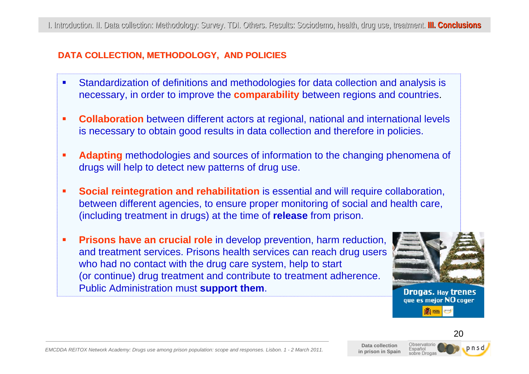#### **DATA COLLECTION, METHODOLOGY, AND POLICIES**

- $\blacksquare$  Standardization of definitions and methodologies for data collection and analysis is necessary, in order to improve the **comparability** between regions and countries.
- **Collaboration** between different actors at regional, national and international levels is necessary to obtain good results in data collection and therefore in policies.
- **Adapting** methodologies and sources of information to the changing phenomena of drugs will help to detect new patterns of drug use.
- $\mathcal{L}_{\mathcal{A}}$  **Social reintegration and rehabilitation** is essential and will require collaboration, between different agencies, to ensure proper monitoring of social and health care, (including treatment in drugs) at the time of **release** from prison.
- $\blacksquare$ **Prisons have an crucial role** in develop prevention, harm reduction, and treatment services. Prisons health services can reach drug users who had no contact with the drug care system, help to start (or continue) drug treatment and contribute to treatment adherence. Public Administration must **support them**.



**Drogas. Hay trenes** que es mejor NO coger



*EMCDDA REITOX Network Academy: Drugs use among prison population: scope and responses. Lisbon. 1 - 2 March 2011.* 

**Data collection in prison in Spain**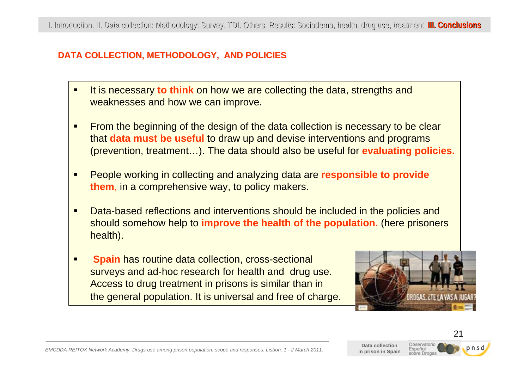#### **DATA COLLECTION, METHODOLOGY, AND POLICIES**

- It is necessary **to think** on how we are collecting the data, strengths and weaknesses and how we can improve.
- $\blacksquare$  From the beginning of the design of the data collection is necessary to be clear that **data must be useful** to draw up and devise interventions and programs (prevention, treatment…). The data should also be useful for **evaluating policies.**
- $\blacksquare$  People working in collecting and analyzing data are **responsible to provide them**, in a comprehensive way, to policy makers.
- $\blacksquare$  Data-based reflections and interventions should be included in the policies and should somehow help to **improve the health of the population.** (here prisoners health).
- $\blacksquare$ **Spain** has routine data collection, cross-sectional surveys and ad-hoc research for health and drug use. Access to drug treatment in prisons is similar than in the general population. It is universal and free of charge.



Español



21

pnsd

*EMCDDA REITOX Network Academy: Drugs use among prison population: scope and responses. Lisbon. 1 - 2 March 2011.* 

**Data collection in prison in Spain**